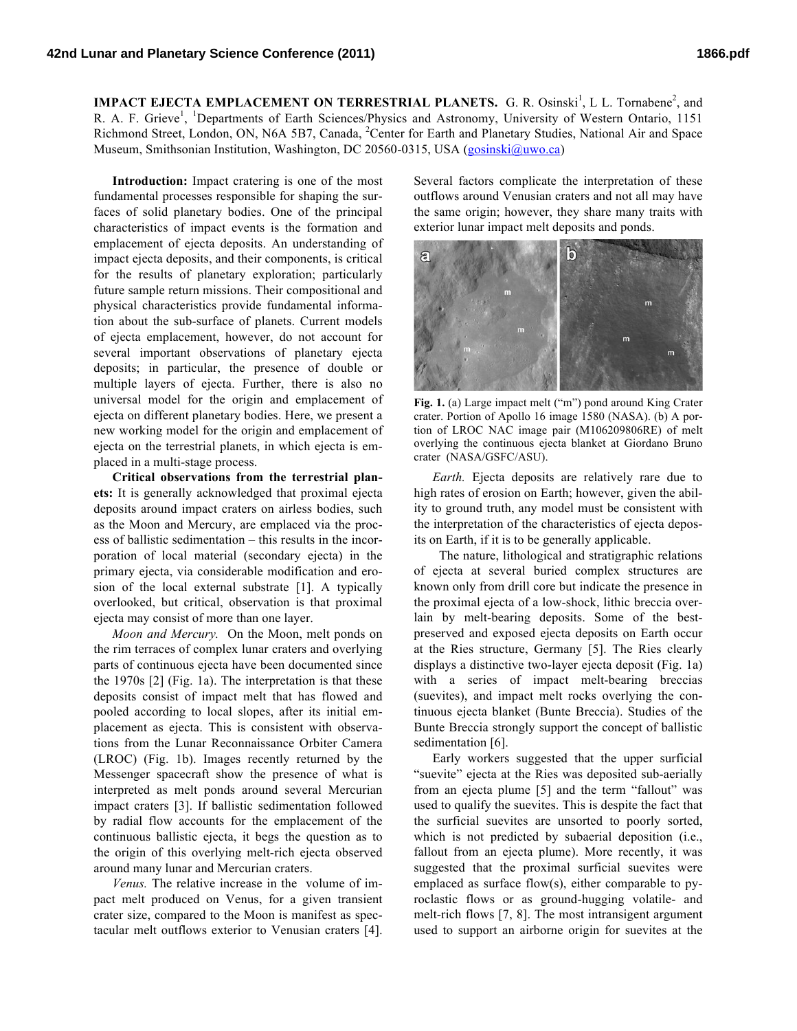**IMPACT EJECTA EMPLACEMENT ON TERRESTRIAL PLANETS.** G. R. Osinski<sup>1</sup>, L L. Tornabene<sup>2</sup>, and R. A. F. Grieve<sup>1</sup>, <sup>1</sup>Departments of Earth Sciences/Physics and Astronomy, University of Western Ontario, 1151 Richmond Street, London, ON, N6A 5B7, Canada, <sup>2</sup>Center for Earth and Planetary Studies, National Air and Space Museum, Smithsonian Institution, Washington, DC 20560-0315, USA (gosinski@uwo.ca)

**Introduction:** Impact cratering is one of the most fundamental processes responsible for shaping the surfaces of solid planetary bodies. One of the principal characteristics of impact events is the formation and emplacement of ejecta deposits. An understanding of impact ejecta deposits, and their components, is critical for the results of planetary exploration; particularly future sample return missions. Their compositional and physical characteristics provide fundamental information about the sub-surface of planets. Current models of ejecta emplacement, however, do not account for several important observations of planetary ejecta deposits; in particular, the presence of double or multiple layers of ejecta. Further, there is also no universal model for the origin and emplacement of ejecta on different planetary bodies. Here, we present a new working model for the origin and emplacement of ejecta on the terrestrial planets, in which ejecta is emplaced in a multi-stage process.

**Critical observations from the terrestrial planets:** It is generally acknowledged that proximal ejecta deposits around impact craters on airless bodies, such as the Moon and Mercury, are emplaced via the process of ballistic sedimentation – this results in the incorporation of local material (secondary ejecta) in the primary ejecta, via considerable modification and erosion of the local external substrate [1]. A typically overlooked, but critical, observation is that proximal ejecta may consist of more than one layer.

*Moon and Mercury.* On the Moon, melt ponds on the rim terraces of complex lunar craters and overlying parts of continuous ejecta have been documented since the 1970s [2] (Fig. 1a). The interpretation is that these deposits consist of impact melt that has flowed and pooled according to local slopes, after its initial emplacement as ejecta. This is consistent with observations from the Lunar Reconnaissance Orbiter Camera (LROC) (Fig. 1b). Images recently returned by the Messenger spacecraft show the presence of what is interpreted as melt ponds around several Mercurian impact craters [3]. If ballistic sedimentation followed by radial flow accounts for the emplacement of the continuous ballistic ejecta, it begs the question as to the origin of this overlying melt-rich ejecta observed around many lunar and Mercurian craters.

*Venus.* The relative increase in the volume of impact melt produced on Venus, for a given transient crater size, compared to the Moon is manifest as spectacular melt outflows exterior to Venusian craters [4]. Several factors complicate the interpretation of these outflows around Venusian craters and not all may have the same origin; however, they share many traits with exterior lunar impact melt deposits and ponds.



**Fig. 1.** (a) Large impact melt ("m") pond around King Crater crater. Portion of Apollo 16 image 1580 (NASA). (b) A portion of LROC NAC image pair (M106209806RE) of melt overlying the continuous ejecta blanket at Giordano Bruno crater (NASA/GSFC/ASU).

*Earth.* Ejecta deposits are relatively rare due to high rates of erosion on Earth; however, given the ability to ground truth, any model must be consistent with the interpretation of the characteristics of ejecta deposits on Earth, if it is to be generally applicable.

 The nature, lithological and stratigraphic relations of ejecta at several buried complex structures are known only from drill core but indicate the presence in the proximal ejecta of a low-shock, lithic breccia overlain by melt-bearing deposits. Some of the bestpreserved and exposed ejecta deposits on Earth occur at the Ries structure, Germany [5]. The Ries clearly displays a distinctive two-layer ejecta deposit (Fig. 1a) with a series of impact melt-bearing breccias (suevites), and impact melt rocks overlying the continuous ejecta blanket (Bunte Breccia). Studies of the Bunte Breccia strongly support the concept of ballistic sedimentation [6].

Early workers suggested that the upper surficial "suevite" ejecta at the Ries was deposited sub-aerially from an ejecta plume [5] and the term "fallout" was used to qualify the suevites. This is despite the fact that the surficial suevites are unsorted to poorly sorted, which is not predicted by subaerial deposition (i.e., fallout from an ejecta plume). More recently, it was suggested that the proximal surficial suevites were emplaced as surface flow(s), either comparable to pyroclastic flows or as ground-hugging volatile- and melt-rich flows [7, 8]. The most intransigent argument used to support an airborne origin for suevites at the